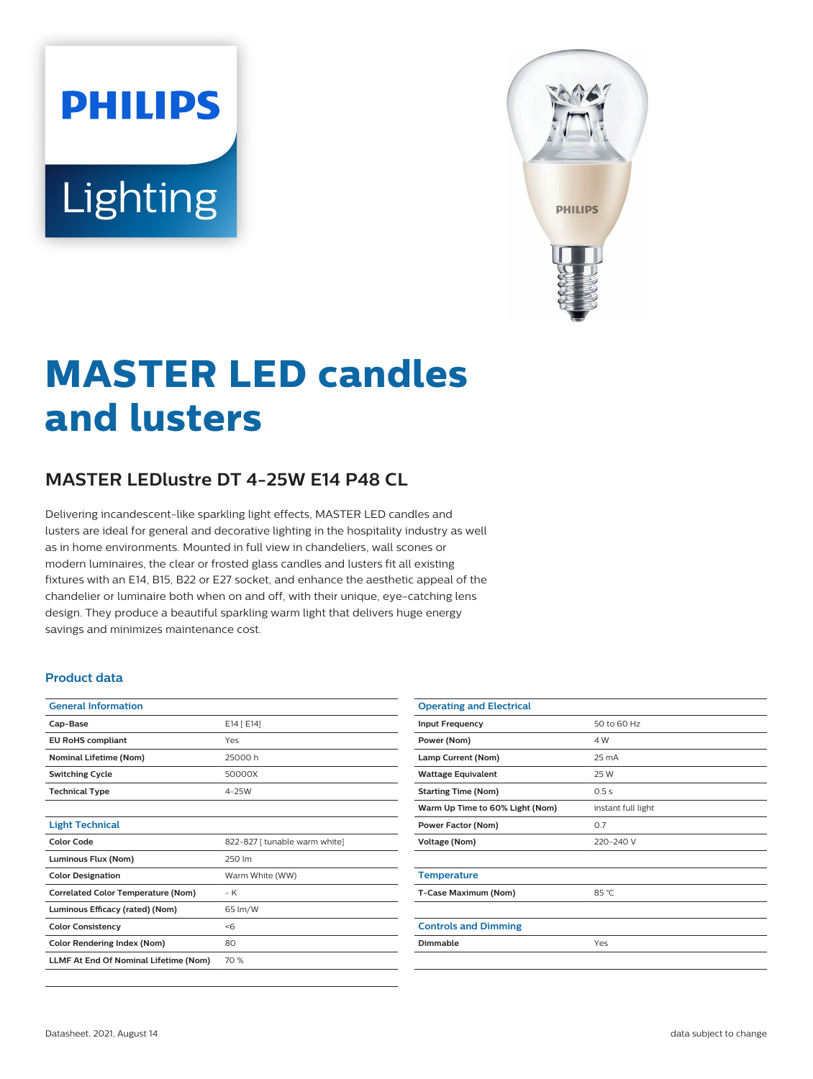# **PHILIPS** Lighting



# **MASTER LED candles and lusters**

# **MASTER LEDlustre DT 4-25W E14 P48 CL**

Delivering incandescent-like sparkling light effects, MASTER LED candles and lusters are ideal for general and decorative lighting in the hospitality industry as well as in home environments. Mounted in full view in chandeliers, wall scones or modern luminaires, the clear or frosted glass candles and lusters fit all existing fixtures with an E14, B15, B22 or E27 socket, and enhance the aesthetic appeal of the chandelier or luminaire both when on and off, with their unique, eye-catching lens design. They produce a beautiful sparkling warm light that delivers huge energy savings and minimizes maintenance cost.

#### **Product data**

| <b>General Information</b>                   |                               |  |
|----------------------------------------------|-------------------------------|--|
| Cap-Base                                     | E14 [ E14]                    |  |
| <b>EU RoHS compliant</b>                     | Yes                           |  |
| <b>Nominal Lifetime (Nom)</b>                | 25000 h                       |  |
| <b>Switching Cycle</b>                       | 50000X                        |  |
| <b>Technical Type</b>                        | $4-25W$                       |  |
|                                              |                               |  |
| <b>Light Technical</b>                       |                               |  |
| Color Code                                   | 822-827 [ tunable warm white] |  |
| Luminous Flux (Nom)                          | 250 lm                        |  |
| <b>Color Designation</b>                     | Warm White (WW)               |  |
| <b>Correlated Color Temperature (Nom)</b>    | $-K$                          |  |
| Luminous Efficacy (rated) (Nom)              | 65 lm/W                       |  |
| <b>Color Consistency</b>                     | < 6                           |  |
| <b>Color Rendering Index (Nom)</b>           | 80                            |  |
| <b>LLMF At End Of Nominal Lifetime (Nom)</b> | 70 %                          |  |

| <b>Operating and Electrical</b> |                    |
|---------------------------------|--------------------|
| <b>Input Frequency</b>          | 50 to 60 Hz        |
| Power (Nom)                     | 4 W                |
| Lamp Current (Nom)              | $25 \text{ mA}$    |
| <b>Wattage Equivalent</b>       | 25 W               |
| <b>Starting Time (Nom)</b>      | 0.5s               |
| Warm Up Time to 60% Light (Nom) | instant full light |
| Power Factor (Nom)              | 0.7                |
| Voltage (Nom)                   | 220-240 V          |
|                                 |                    |
| <b>Temperature</b>              |                    |
| T-Case Maximum (Nom)            | 85 °C              |
|                                 |                    |
| <b>Controls and Dimming</b>     |                    |
| Dimmable                        | Yes                |
|                                 |                    |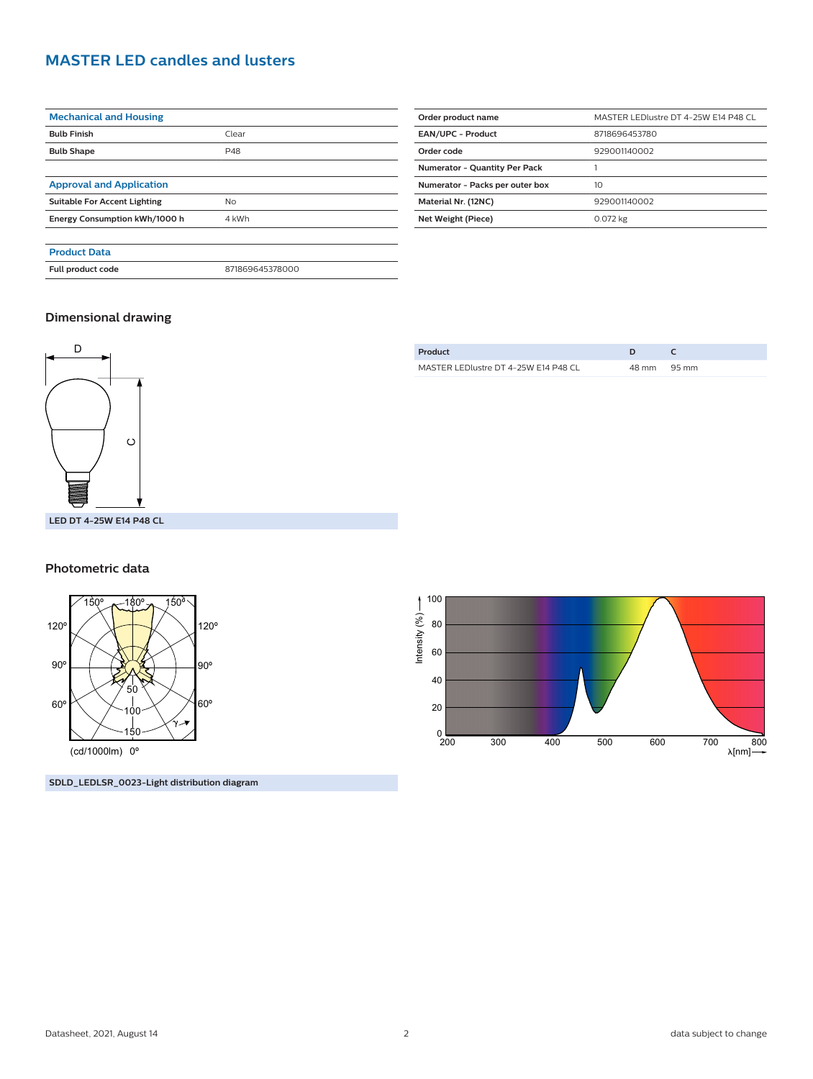## **MASTER LED candles and lusters**

| <b>Mechanical and Housing</b>       |                 |  |
|-------------------------------------|-----------------|--|
| <b>Bulb Finish</b>                  | Clear           |  |
| <b>Bulb Shape</b>                   | P48             |  |
|                                     |                 |  |
| <b>Approval and Application</b>     |                 |  |
| <b>Suitable For Accent Lighting</b> | No              |  |
| Energy Consumption kWh/1000 h       | 4 kWh           |  |
|                                     |                 |  |
| <b>Product Data</b>                 |                 |  |
| Full product code                   | 871869645378000 |  |

| Order product name                   | MASTER LEDIustre DT 4-25W E14 P48 CL |  |
|--------------------------------------|--------------------------------------|--|
| <b>EAN/UPC - Product</b>             | 8718696453780                        |  |
| Order code                           | 929001140002                         |  |
| <b>Numerator - Quantity Per Pack</b> |                                      |  |
| Numerator - Packs per outer box      | 10                                   |  |
| Material Nr. (12NC)                  | 929001140002                         |  |
| Net Weight (Piece)                   | 0.072 kg                             |  |

#### **Dimensional drawing**



| Product                              |             |  |
|--------------------------------------|-------------|--|
| MASTER LEDIustre DT 4-25W E14 P48 CL | 48 mm 95 mm |  |
|                                      |             |  |

#### **Photometric data**



**SDLD\_LEDLSR\_0023-Light distribution diagram**